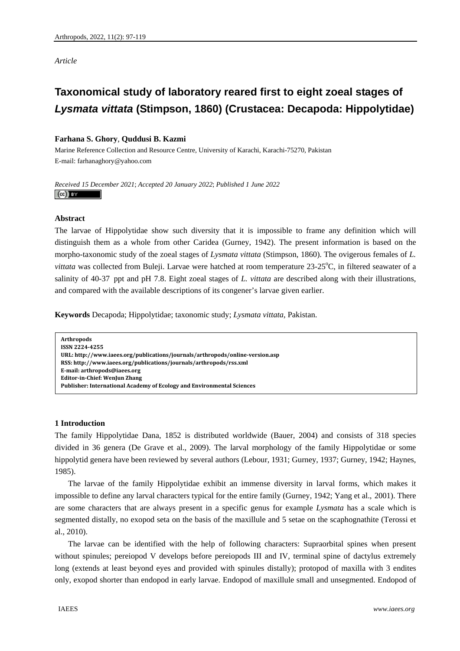*Article* 

## **Taxonomical study of laboratory reared first to eight zoeal stages of**  *Lysmata vittata* **(Stimpson, 1860) (Crustacea: Decapoda: Hippolytidae)**

## **Farhana S. Ghory**, **Quddusi B. Kazmi**

Marine Reference Collection and Resource Centre, University of Karachi, Karachi-75270, Pakistan E-mail: farhanaghory@yahoo.com

*Received 15 December 2021*; *Accepted 20 January 2022*; *Published 1 June 2022*   $\left(\mathrm{cc}\right)$  and

## **Abstract**

The larvae of Hippolytidae show such diversity that it is impossible to frame any definition which will distinguish them as a whole from other Caridea (Gurney, 1942). The present information is based on the morpho-taxonomic study of the zoeal stages of *Lysmata vittata* (Stimpson, 1860). The ovigerous females of *L.*  vittata was collected from Buleji. Larvae were hatched at room temperature 23-25°C, in filtered seawater of a salinity of 40-37 ppt and pH 7.8. Eight zoeal stages of *L. vittata* are described along with their illustrations, and compared with the available descriptions of its congener's larvae given earlier.

**Keywords** Decapoda; Hippolytidae; taxonomic study; *Lysmata vittata*, Pakistan.

**Arthropods ISSN 22244255 URL: http://www.iaees.org/publications/journals/arthropods/onlineversion.asp RSS: http://www.iaees.org/publications/journals/arthropods/rss.xml Email: arthropods@iaees.org EditorinChief: WenJun Zhang Publisher: International Academy of Ecology and Environmental Sciences**

## **1 Introduction**

The family Hippolytidae Dana, 1852 is distributed worldwide (Bauer, 2004) and consists of 318 species divided in 36 genera (De Grave et al.*,* 2009). The larval morphology of the family Hippolytidae or some hippolytid genera have been reviewed by several authors (Lebour, 1931; Gurney, 1937; Gurney, 1942; Haynes, 1985).

The larvae of the family Hippolytidae exhibit an immense diversity in larval forms, which makes it impossible to define any larval characters typical for the entire family (Gurney, 1942; Yang et al., 2001). There are some characters that are always present in a specific genus for example *Lysmata* has a scale which is segmented distally, no exopod seta on the basis of the maxillule and 5 setae on the scaphognathite (Terossi et al., 2010).

The larvae can be identified with the help of following characters: Supraorbital spines when present without spinules; pereiopod V develops before pereiopods III and IV, terminal spine of dactylus extremely long (extends at least beyond eyes and provided with spinules distally); protopod of maxilla with 3 endites only, exopod shorter than endopod in early larvae. Endopod of maxillule small and unsegmented. Endopod of